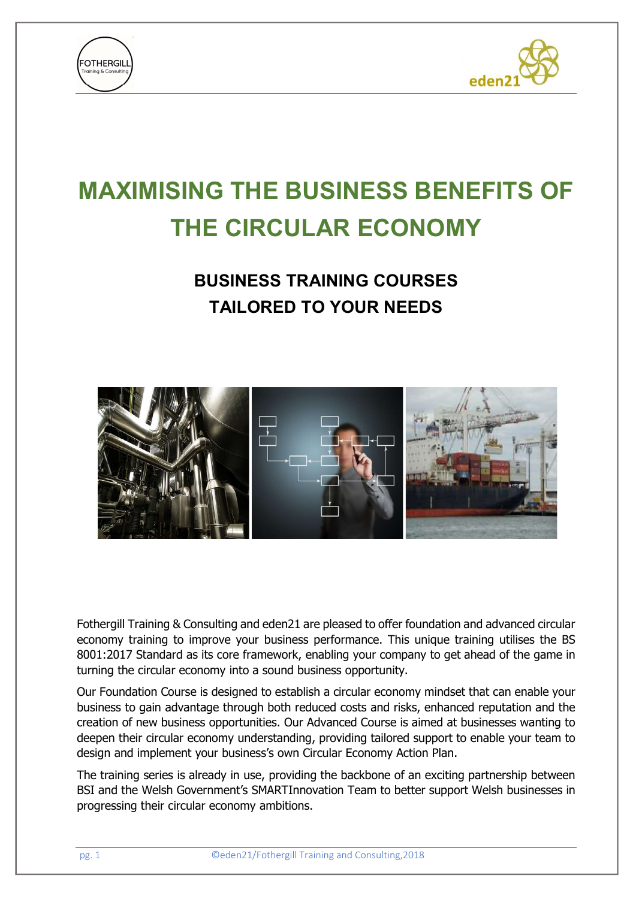



# MAXIMISING THE BUSINESS BENEFITS OF THE CIRCULAR ECONOMY

## BUSINESS TRAINING COURSES TAILORED TO YOUR NEEDS



Fothergill Training & Consulting and eden21 are pleased to offer foundation and advanced circular economy training to improve your business performance. This unique training utilises the BS 8001:2017 Standard as its core framework, enabling your company to get ahead of the game in turning the circular economy into a sound business opportunity.

Our Foundation Course is designed to establish a circular economy mindset that can enable your business to gain advantage through both reduced costs and risks, enhanced reputation and the creation of new business opportunities. Our Advanced Course is aimed at businesses wanting to deepen their circular economy understanding, providing tailored support to enable your team to design and implement your business's own Circular Economy Action Plan.

The training series is already in use, providing the backbone of an exciting partnership between BSI and the Welsh Government's SMARTInnovation Team to better support Welsh businesses in progressing their circular economy ambitions.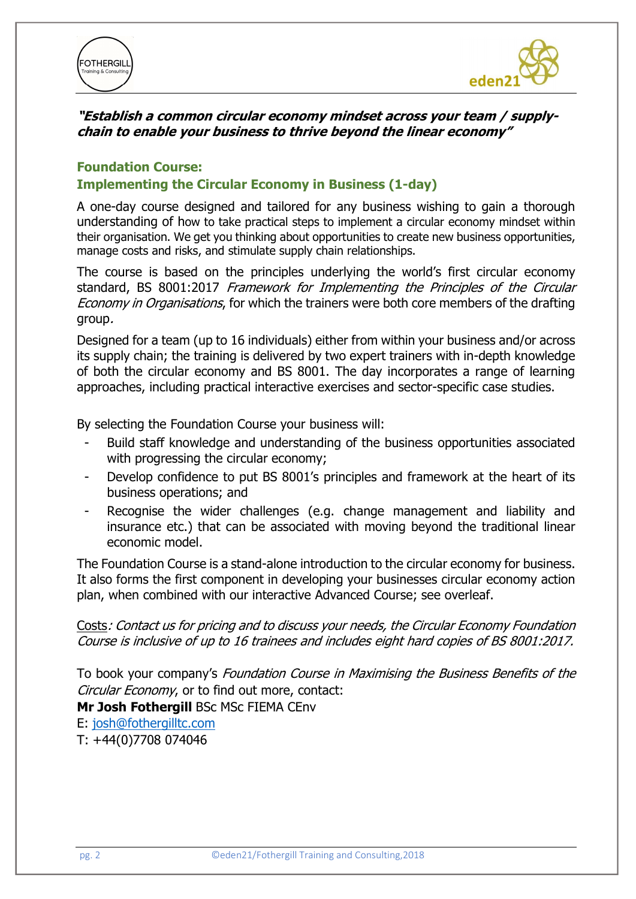



#### "Establish a common circular economy mindset across your team / supplychain to enable your business to thrive beyond the linear economy"

#### Foundation Course: Implementing the Circular Economy in Business (1-day)

A one-day course designed and tailored for any business wishing to gain a thorough understanding of how to take practical steps to implement a circular economy mindset within their organisation. We get you thinking about opportunities to create new business opportunities, manage costs and risks, and stimulate supply chain relationships.

The course is based on the principles underlying the world's first circular economy standard, BS 8001:2017 Framework for Implementing the Principles of the Circular Economy in Organisations, for which the trainers were both core members of the drafting group.

Designed for a team (up to 16 individuals) either from within your business and/or across its supply chain; the training is delivered by two expert trainers with in-depth knowledge of both the circular economy and BS 8001. The day incorporates a range of learning approaches, including practical interactive exercises and sector-specific case studies.

By selecting the Foundation Course your business will:

- Build staff knowledge and understanding of the business opportunities associated with progressing the circular economy;
- Develop confidence to put BS 8001's principles and framework at the heart of its business operations; and
- Recognise the wider challenges (e.g. change management and liability and insurance etc.) that can be associated with moving beyond the traditional linear economic model.

The Foundation Course is a stand-alone introduction to the circular economy for business. It also forms the first component in developing your businesses circular economy action plan, when combined with our interactive Advanced Course; see overleaf.

Costs: Contact us for pricing and to discuss your needs, the Circular Economy Foundation Course is inclusive of up to 16 trainees and includes eight hard copies of BS 8001:2017.

To book your company's Foundation Course in Maximising the Business Benefits of the Circular Economy, or to find out more, contact: Mr Josh Fothergill BSc MSc FIEMA CEnv

E: josh@fothergilltc.com

T: +44(0)7708 074046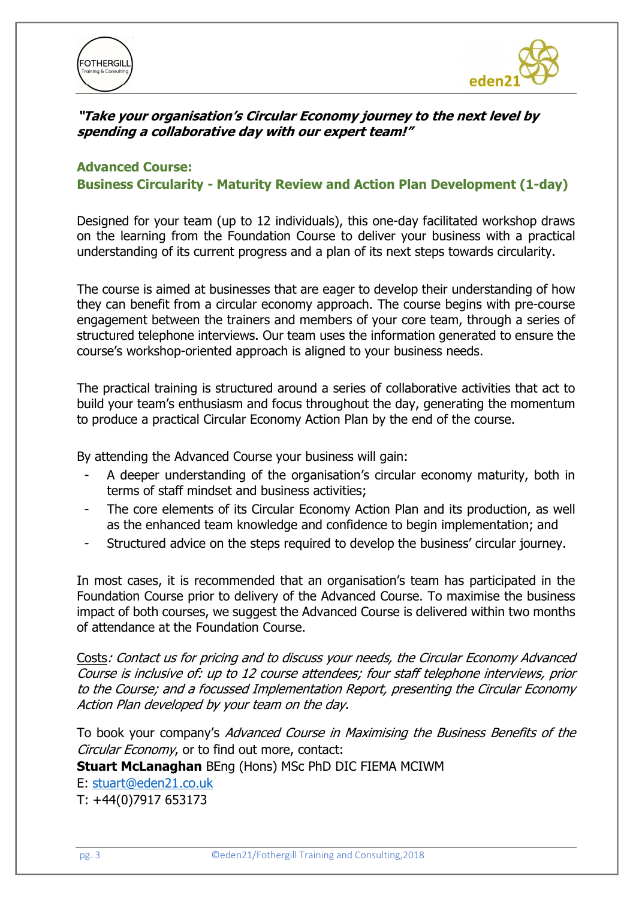



#### "Take your organisation's Circular Economy journey to the next level by spending a collaborative day with our expert team!"

#### Advanced Course: Business Circularity - Maturity Review and Action Plan Development (1-day)

Designed for your team (up to 12 individuals), this one-day facilitated workshop draws on the learning from the Foundation Course to deliver your business with a practical understanding of its current progress and a plan of its next steps towards circularity.

The course is aimed at businesses that are eager to develop their understanding of how they can benefit from a circular economy approach. The course begins with pre-course engagement between the trainers and members of your core team, through a series of structured telephone interviews. Our team uses the information generated to ensure the course's workshop-oriented approach is aligned to your business needs.

The practical training is structured around a series of collaborative activities that act to build your team's enthusiasm and focus throughout the day, generating the momentum to produce a practical Circular Economy Action Plan by the end of the course.

By attending the Advanced Course your business will gain:

- A deeper understanding of the organisation's circular economy maturity, both in terms of staff mindset and business activities;
- The core elements of its Circular Economy Action Plan and its production, as well as the enhanced team knowledge and confidence to begin implementation; and
- Structured advice on the steps required to develop the business' circular journey.

In most cases, it is recommended that an organisation's team has participated in the Foundation Course prior to delivery of the Advanced Course. To maximise the business impact of both courses, we suggest the Advanced Course is delivered within two months of attendance at the Foundation Course.

Costs: Contact us for pricing and to discuss your needs, the Circular Economy Advanced Course is inclusive of: up to 12 course attendees; four staff telephone interviews, prior to the Course; and a focussed Implementation Report, presenting the Circular Economy Action Plan developed by your team on the day.

To book your company's Advanced Course in Maximising the Business Benefits of the Circular Economy, or to find out more, contact:

Stuart McLanaghan BEng (Hons) MSc PhD DIC FIEMA MCIWM

#### E: stuart@eden21.co.uk

T: +44(0)7917 653173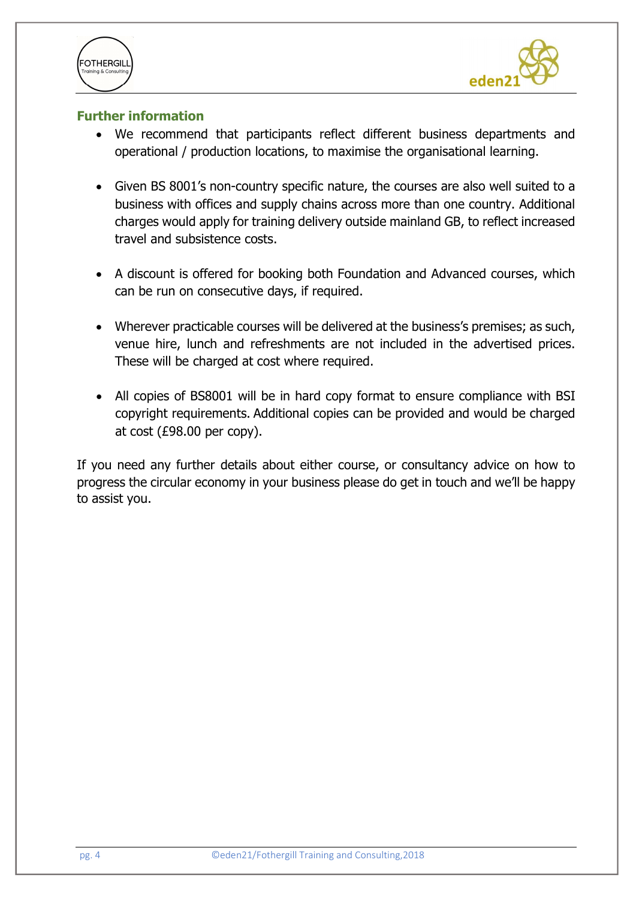



#### Further information

- We recommend that participants reflect different business departments and operational / production locations, to maximise the organisational learning.
- Given BS 8001's non-country specific nature, the courses are also well suited to a business with offices and supply chains across more than one country. Additional charges would apply for training delivery outside mainland GB, to reflect increased travel and subsistence costs.
- A discount is offered for booking both Foundation and Advanced courses, which can be run on consecutive days, if required.
- Wherever practicable courses will be delivered at the business's premises; as such, venue hire, lunch and refreshments are not included in the advertised prices. These will be charged at cost where required.
- All copies of BS8001 will be in hard copy format to ensure compliance with BSI copyright requirements. Additional copies can be provided and would be charged at cost (£98.00 per copy).

If you need any further details about either course, or consultancy advice on how to progress the circular economy in your business please do get in touch and we'll be happy to assist you.